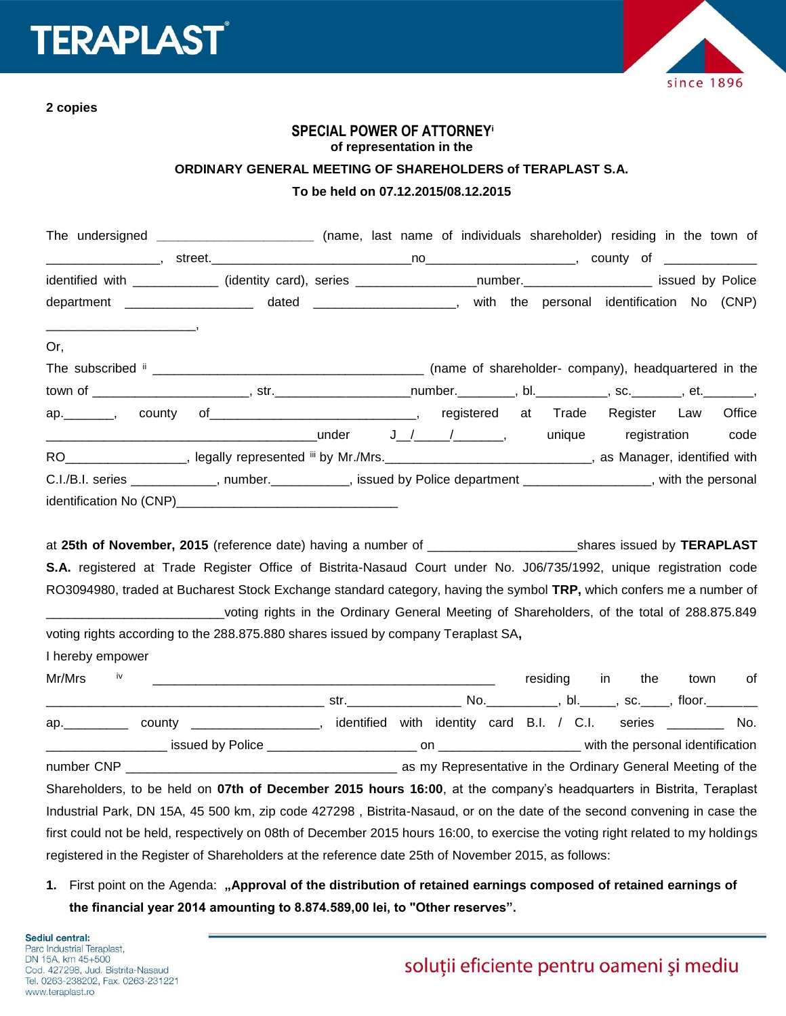

**2 copies**

## **SPECIAL POWER OF ATTORNEY<sup>i</sup> of representation in the**

## **ORDINARY GENERAL MEETING OF SHAREHOLDERS of TERAPLAST S.A. To be held on 07.12.2015/08.12.2015**

| The undersigned ______________________________ (name, last name of individuals shareholder) residing in the town of    |  |  |  |  |  |
|------------------------------------------------------------------------------------------------------------------------|--|--|--|--|--|
|                                                                                                                        |  |  |  |  |  |
| identified with ____________ (identity card), series __________________number.___________________ issued by Police     |  |  |  |  |  |
| department _______________________ dated ______________________, with the personal identification No (CNP)             |  |  |  |  |  |
|                                                                                                                        |  |  |  |  |  |
| Or,                                                                                                                    |  |  |  |  |  |
|                                                                                                                        |  |  |  |  |  |
|                                                                                                                        |  |  |  |  |  |
| ap. _______, county of _____________________________, registered at Trade Register Law Office                          |  |  |  |  |  |
|                                                                                                                        |  |  |  |  |  |
| RO___________________, legally represented iii by Mr./Mrs._______________________________, as Manager, identified with |  |  |  |  |  |
| C.I./B.I. series ____________, number. __________, issued by Police department ________________, with the personal     |  |  |  |  |  |
|                                                                                                                        |  |  |  |  |  |

at **25th of November, 2015** (reference date) having a number of \_\_\_\_\_\_\_\_\_\_\_\_\_\_\_\_\_\_\_\_\_shares issued by **TERAPLAST S.A.** registered at Trade Register Office of Bistrita-Nasaud Court under No. J06/735/1992, unique registration code RO3094980, traded at Bucharest Stock Exchange standard category, having the symbol **TRP,** which confers me a number of \_\_\_\_\_\_\_\_\_\_\_\_\_\_\_\_\_\_\_\_\_\_\_\_\_voting rights in the Ordinary General Meeting of Shareholders, of the total of 288.875.849 voting rights according to the 288.875.880 shares issued by company Teraplast SA**,**

I hereby empower

| Mr/Mrs | iv |                                                                                                                                                                                                                                |            |  | residing                                                    | in. | the | town | 0f  |
|--------|----|--------------------------------------------------------------------------------------------------------------------------------------------------------------------------------------------------------------------------------|------------|--|-------------------------------------------------------------|-----|-----|------|-----|
|        |    |                                                                                                                                                                                                                                |            |  |                                                             |     |     |      |     |
| ap.    |    | county the country of the country of the second service of the service of the service of the series of the ser                                                                                                                 | identified |  | with identity card B.I. / C.I. series _______               |     |     |      | No. |
|        |    |                                                                                                                                                                                                                                |            |  |                                                             |     |     |      |     |
|        |    | number CNP and the contract of the contract of the contract of the contract of the contract of the contract of the contract of the contract of the contract of the contract of the contract of the contract of the contract of |            |  | as my Representative in the Ordinary General Meeting of the |     |     |      |     |
|        |    | Shareholders, to be held on 07th of December 2015 hours 16:00, at the company's headquarters in Bistrita, Teraplast                                                                                                            |            |  |                                                             |     |     |      |     |
|        |    | Industrial Park, DN 15A, 45 500 km, zip code 427298, Bistrita-Nasaud, or on the date of the second convening in case the                                                                                                       |            |  |                                                             |     |     |      |     |
|        |    | first could not be held, respectively on 08th of December 2015 hours 16:00, to exercise the voting right related to my holdings                                                                                                |            |  |                                                             |     |     |      |     |
|        |    | registered in the Register of Shareholders at the reference date 25th of November 2015, as follows:                                                                                                                            |            |  |                                                             |     |     |      |     |

**1.** First point on the Agenda: **"Approval of the distribution of retained earnings composed of retained earnings of the financial year 2014 amounting to 8.874.589,00 lei, to "Other reserves".**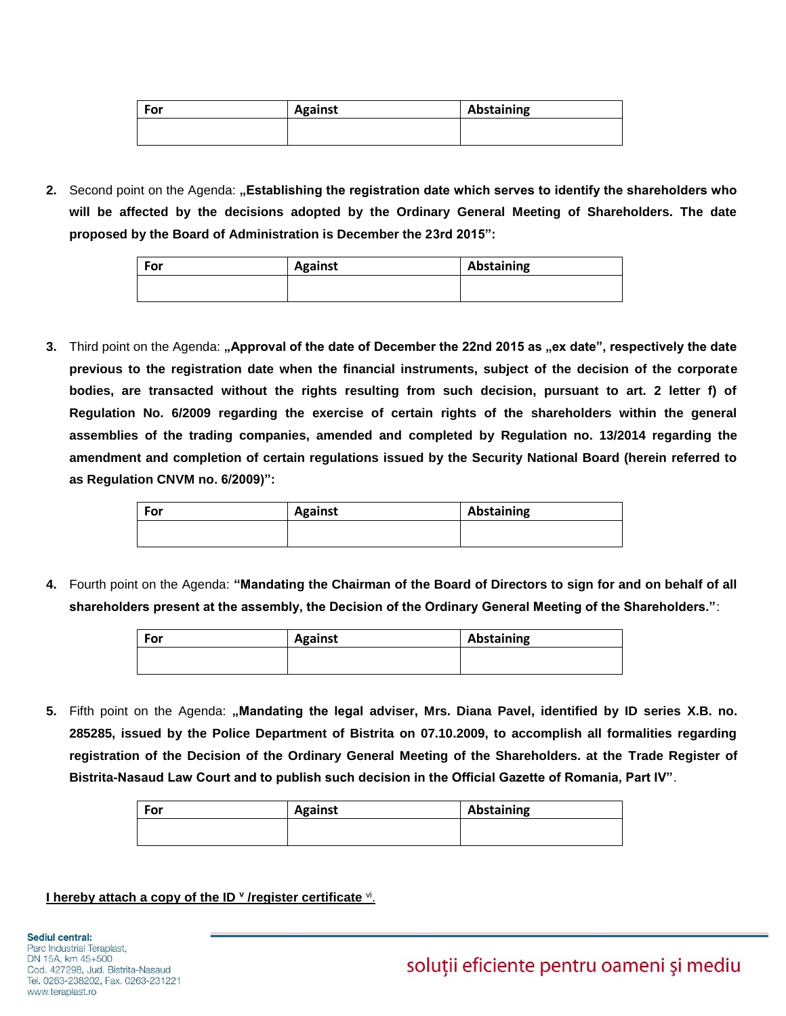| For | <b>Against</b> | Abstaining |
|-----|----------------|------------|
|     |                |            |

**2.** Second point on the Agenda: **"Establishing the registration date which serves to identify the shareholders who will be affected by the decisions adopted by the Ordinary General Meeting of Shareholders. The date proposed by the Board of Administration is December the 23rd 2015":**

| For | <b>Against</b> | Abstaining |
|-----|----------------|------------|
|     |                |            |

**3.** Third point on the Agenda: "Approval of the date of December the 22nd 2015 as "ex date", respectively the date **previous to the registration date when the financial instruments, subject of the decision of the corporate bodies, are transacted without the rights resulting from such decision, pursuant to art. 2 letter f) of Regulation No. 6/2009 regarding the exercise of certain rights of the shareholders within the general assemblies of the trading companies, amended and completed by Regulation no. 13/2014 regarding the amendment and completion of certain regulations issued by the Security National Board (herein referred to as Regulation CNVM no. 6/2009)":**

| For | <b>Against</b> | Abstaining |
|-----|----------------|------------|
|     |                |            |

**4.** Fourth point on the Agenda: **"Mandating the Chairman of the Board of Directors to sign for and on behalf of all shareholders present at the assembly, the Decision of the Ordinary General Meeting of the Shareholders."**:

| For | <b>Against</b> | Abstaining |
|-----|----------------|------------|
|     |                |            |

**5.** Fifth point on the Agenda: **"Mandating the legal adviser, Mrs. Diana Pavel, identified by ID series X.B. no. 285285, issued by the Police Department of Bistrita on 07.10.2009, to accomplish all formalities regarding registration of the Decision of the Ordinary General Meeting of the Shareholders. at the Trade Register of Bistrita-Nasaud Law Court and to publish such decision in the Official Gazette of Romania, Part IV"**.

| ' For | <b>Against</b> | Abstaining |
|-------|----------------|------------|
|       |                |            |

## **I** hereby attach a copy of the ID **v** /register certificate **vi**.